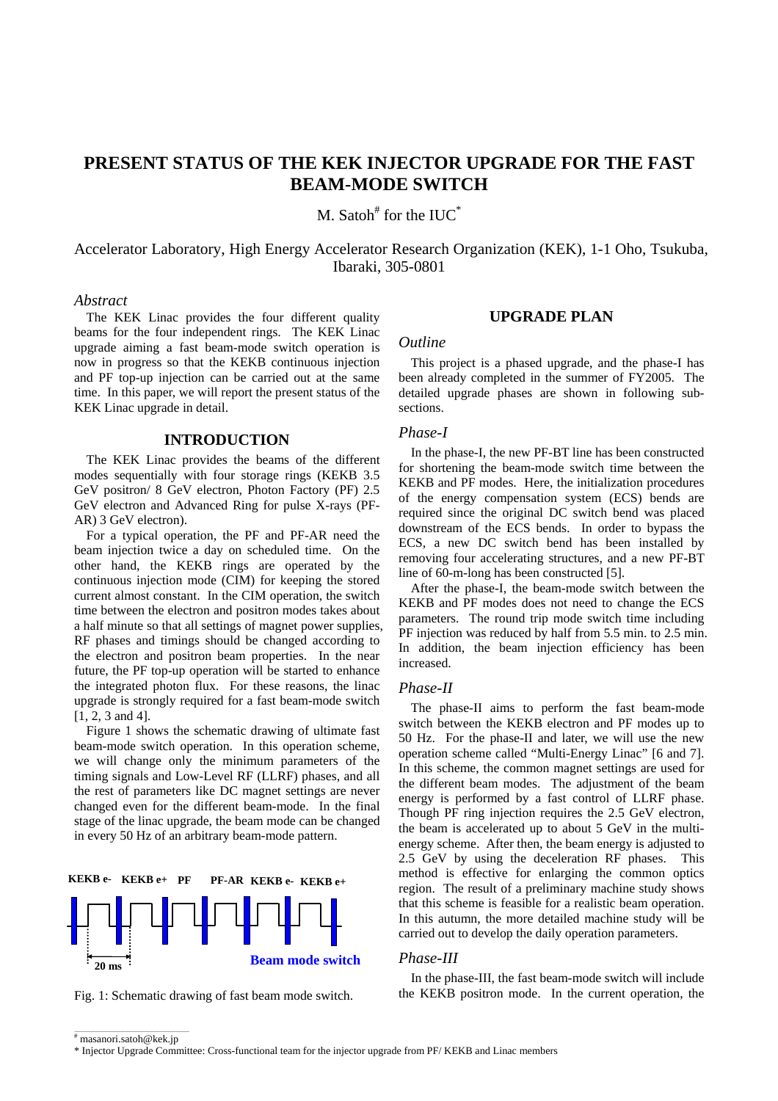# **PRESENT STATUS OF THE KEK INJECTOR UPGRADE FOR THE FAST BEAM-MODE SWITCH**

M. Satoh<sup>#</sup> for the IUC $^*$ 

Accelerator Laboratory, High Energy Accelerator Research Organization (KEK), 1-1 Oho, Tsukuba, Ibaraki, 305-0801

## *Abstract*

The KEK Linac provides the four different quality beams for the four independent rings. The KEK Linac upgrade aiming a fast beam-mode switch operation is now in progress so that the KEKB continuous injection and PF top-up injection can be carried out at the same time. In this paper, we will report the present status of the KEK Linac upgrade in detail.

## **INTRODUCTION**

The KEK Linac provides the beams of the different modes sequentially with four storage rings (KEKB 3.5 GeV positron/ 8 GeV electron, Photon Factory (PF) 2.5 GeV electron and Advanced Ring for pulse X-rays (PF-AR) 3 GeV electron).

For a typical operation, the PF and PF-AR need the beam injection twice a day on scheduled time. On the other hand, the KEKB rings are operated by the continuous injection mode (CIM) for keeping the stored current almost constant. In the CIM operation, the switch time between the electron and positron modes takes about a half minute so that all settings of magnet power supplies, RF phases and timings should be changed according to the electron and positron beam properties. In the near future, the PF top-up operation will be started to enhance the integrated photon flux. For these reasons, the linac upgrade is strongly required for a fast beam-mode switch [1, 2, 3 and 4].

Figure 1 shows the schematic drawing of ultimate fast beam-mode switch operation. In this operation scheme, we will change only the minimum parameters of the timing signals and Low-Level RF (LLRF) phases, and all the rest of parameters like DC magnet settings are never changed even for the different beam-mode. In the final stage of the linac upgrade, the beam mode can be changed in every 50 Hz of an arbitrary beam-mode pattern.



Fig. 1: Schematic drawing of fast beam mode switch.

## **UPGRADE PLAN**

# *Outline*

This project is a phased upgrade, and the phase-I has been already completed in the summer of FY2005. The detailed upgrade phases are shown in following subsections.

#### *Phase-I*

In the phase-I, the new PF-BT line has been constructed for shortening the beam-mode switch time between the KEKB and PF modes. Here, the initialization procedures of the energy compensation system (ECS) bends are required since the original DC switch bend was placed downstream of the ECS bends. In order to bypass the ECS, a new DC switch bend has been installed by removing four accelerating structures, and a new PF-BT line of 60-m-long has been constructed [5].

After the phase-I, the beam-mode switch between the KEKB and PF modes does not need to change the ECS parameters. The round trip mode switch time including PF injection was reduced by half from 5.5 min. to 2.5 min. In addition, the beam injection efficiency has been increased.

#### *Phase-II*

The phase-II aims to perform the fast beam-mode switch between the KEKB electron and PF modes up to 50 Hz. For the phase-II and later, we will use the new operation scheme called "Multi-Energy Linac" [6 and 7]. In this scheme, the common magnet settings are used for the different beam modes. The adjustment of the beam energy is performed by a fast control of LLRF phase. Though PF ring injection requires the 2.5 GeV electron, the beam is accelerated up to about 5 GeV in the multienergy scheme. After then, the beam energy is adjusted to 2.5 GeV by using the deceleration RF phases. This method is effective for enlarging the common optics region. The result of a preliminary machine study shows that this scheme is feasible for a realistic beam operation. In this autumn, the more detailed machine study will be carried out to develop the daily operation parameters.

#### *Phase-III*

In the phase-III, the fast beam-mode switch will include the KEKB positron mode. In the current operation, the

 $\overline{\hspace{1cm}}$  masanori.satoh@kek.jp

<sup>\*</sup> Injector Upgrade Committee: Cross-functional team for the injector upgrade from PF/ KEKB and Linac members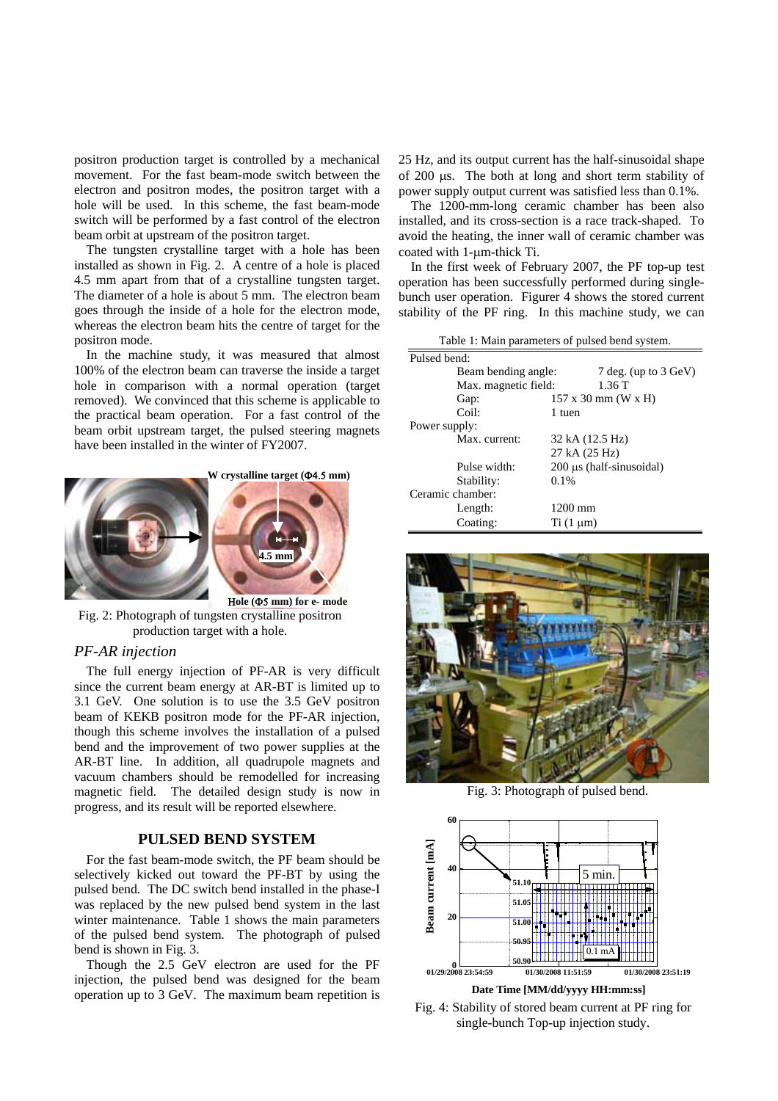positron production target is controlled by a mechanical movement. For the fast beam-mode switch between the electron and positron modes, the positron target with a hole will be used. In this scheme, the fast beam-mode switch will be performed by a fast control of the electron beam orbit at upstream of the positron target.

The tungsten crystalline target with a hole has been installed as shown in Fig. 2. A centre of a hole is placed 4.5 mm apart from that of a crystalline tungsten target. The diameter of a hole is about 5 mm. The electron beam goes through the inside of a hole for the electron mode, whereas the electron beam hits the centre of target for the positron mode.

In the machine study, it was measured that almost 100% of the electron beam can traverse the inside a target hole in comparison with a normal operation (target removed). We convinced that this scheme is applicable to the practical beam operation. For a fast control of the beam orbit upstream target, the pulsed steering magnets have been installed in the winter of FY2007.



Fig. 2: Photograph of tungsten crystalline positron production target with a hole.

#### *PF-AR injection*

The full energy injection of PF-AR is very difficult since the current beam energy at AR-BT is limited up to 3.1 GeV. One solution is to use the 3.5 GeV positron beam of KEKB positron mode for the PF-AR injection, though this scheme involves the installation of a pulsed bend and the improvement of two power supplies at the AR-BT line. In addition, all quadrupole magnets and vacuum chambers should be remodelled for increasing magnetic field. The detailed design study is now in progress, and its result will be reported elsewhere.

# **PULSED BEND SYSTEM**

For the fast beam-mode switch, the PF beam should be selectively kicked out toward the PF-BT by using the pulsed bend. The DC switch bend installed in the phase-I was replaced by the new pulsed bend system in the last winter maintenance. Table 1 shows the main parameters of the pulsed bend system. The photograph of pulsed bend is shown in Fig. 3.

Though the 2.5 GeV electron are used for the PF injection, the pulsed bend was designed for the beam operation up to 3 GeV. The maximum beam repetition is 25 Hz, and its output current has the half-sinusoidal shape of 200 µs. The both at long and short term stability of power supply output current was satisfied less than 0.1%.

The 1200-mm-long ceramic chamber has been also installed, and its cross-section is a race track-shaped. To avoid the heating, the inner wall of ceramic chamber was coated with 1-µm-thick Ti.

In the first week of February 2007, the PF top-up test operation has been successfully performed during singlebunch user operation. Figurer 4 shows the stored current stability of the PF ring. In this machine study, we can

Table 1: Main parameters of pulsed bend system.

| Pulsed bend:        |                                  |                                           |  |
|---------------------|----------------------------------|-------------------------------------------|--|
| Beam bending angle: |                                  | 7 deg. (up to 3 GeV)                      |  |
|                     | Max. magnetic field:             |                                           |  |
| Gap:                |                                  | $157 \times 30 \text{ mm}$ (W $\times$ H) |  |
| Coil:               | 1 tuen                           |                                           |  |
| Power supply:       |                                  |                                           |  |
|                     | Max. current:<br>32 kA (12.5 Hz) |                                           |  |
|                     |                                  | 27 kA (25 Hz)                             |  |
| Pulse width:        |                                  | $200 \mu s$ (half-sinusoidal)             |  |
| Stability:          | $0.1\%$                          |                                           |  |
| Ceramic chamber:    |                                  |                                           |  |
| Length:             | $1200$ mm                        |                                           |  |
| Coating:            | $Ti(1 \mu m)$                    |                                           |  |
|                     |                                  |                                           |  |



Fig. 3: Photograph of pulsed bend.



Fig. 4: Stability of stored beam current at PF ring for single-bunch Top-up injection study.